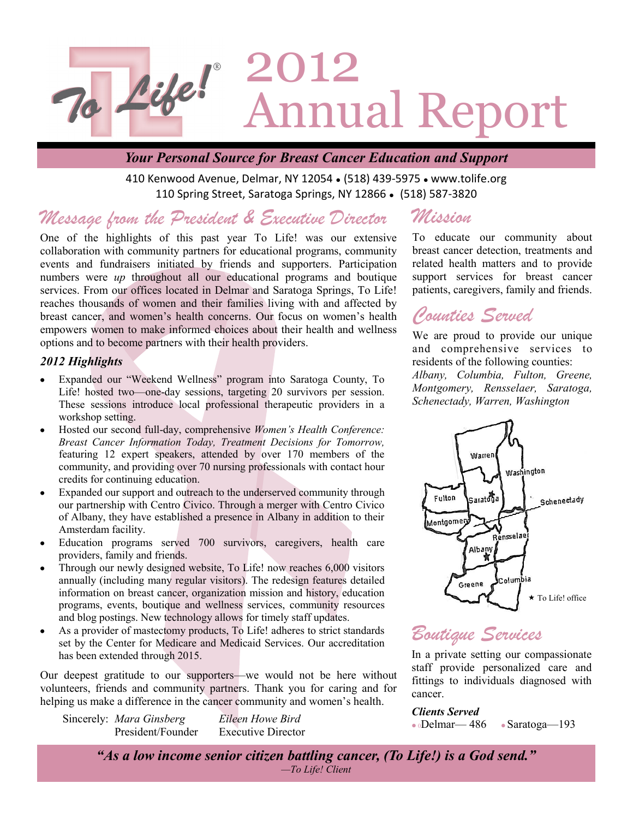

### *Your Personal Source for Breast Cancer Education and Support*

410 Kenwood Avenue, Delmar, NY 12054 . (518) 439-5975 . www.tolife.org 110 Spring Street, Saratoga Springs, NY 12866 • (518) 587-3820

#### *Message from the President & Executive Director Mission*

One of the highlights of this past year To Life! was our extensive collaboration with community partners for educational programs, community events and fundraisers initiated by friends and supporters. Participation numbers were *up* throughout all our educational programs and boutique services. From our offices located in Delmar and Saratoga Springs, To Life! reaches thousands of women and their families living with and affected by breast cancer, and women's health concerns. Our focus on women's health empowers women to make informed choices about their health and wellness options and to become partners with their health providers.

### *2012 Highlights*

- Expanded our "Weekend Wellness" program into Saratoga County, To Life! hosted two—one-day sessions, targeting 20 survivors per session. These sessions introduce local professional therapeutic providers in a workshop setting.
- Hosted our second full-day, comprehensive *Women's Health Conference:*   $\bullet$ *Breast Cancer Information Today, Treatment Decisions for Tomorrow,*  featuring 12 expert speakers, attended by over 170 members of the community, and providing over 70 nursing professionals with contact hour credits for continuing education.
- Expanded our support and outreach to the underserved community through our partnership with Centro Civico. Through a merger with Centro Civico of Albany, they have established a presence in Albany in addition to their Amsterdam facility.
- Education programs served 700 survivors, caregivers, health care providers, family and friends.
- Through our newly designed website, To Life! now reaches 6,000 visitors annually (including many regular visitors). The redesign features detailed information on breast cancer, organization mission and history, education programs, events, boutique and wellness services, community resources and blog postings. New technology allows for timely staff updates.
- As a provider of mastectomy products, To Life! adheres to strict standards set by the Center for Medicare and Medicaid Services. Our accreditation has been extended through 2015.

Our deepest gratitude to our supporters—we would not be here without volunteers, friends and community partners. Thank you for caring and for helping us make a difference in the cancer community and women's health.

Sincerely: *Mara Ginsberg Eileen Howe Bird*

President/Founder Executive Director

To educate our community about breast cancer detection, treatments and related health matters and to provide support services for breast cancer patients, caregivers, family and friends.

# *Counties Served*

We are proud to provide our unique and comprehensive services to residents of the following counties: *Albany, Columbia, Fulton, Greene, Montgomery, Rensselaer, Saratoga, Schenectady, Warren, Washington*



# *Boutique Services*

In a private setting our compassionate staff provide personalized care and fittings to individuals diagnosed with cancer.

*Clients Served* <sup>0</sup>Delmar— 486 Saratoga—193

*"As a low income senior citizen battling cancer, (To Life!) is a God send." —To Life! Client*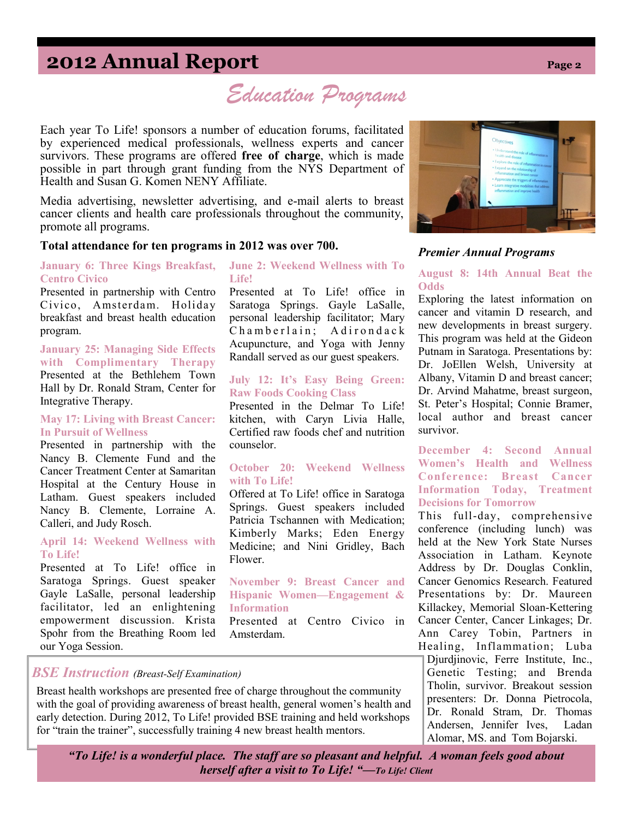# **2012 Annual Report Page 2**

*Education Programs*

Each year To Life! sponsors a number of education forums, facilitated by experienced medical professionals, wellness experts and cancer survivors. These programs are offered **free of charge**, which is made possible in part through grant funding from the NYS Department of Health and Susan G. Komen NENY Affiliate.

Media advertising, newsletter advertising, and e-mail alerts to breast cancer clients and health care professionals throughout the community, promote all programs.

#### **Total attendance for ten programs in 2012 was over 700.**

**January 6: Three Kings Breakfast, Centro Civico**

Presented in partnership with Centro Civico, Amsterdam. Holiday breakfast and breast health education program.

**January 25: Managing Side Effects with Complimentary Therapy**  Presented at the Bethlehem Town Hall by Dr. Ronald Stram, Center for Integrative Therapy.

#### **May 17: Living with Breast Cancer: In Pursuit of Wellness**

Presented in partnership with the Nancy B. Clemente Fund and the Cancer Treatment Center at Samaritan Hospital at the Century House in Latham. Guest speakers included Nancy B. Clemente, Lorraine A. Calleri, and Judy Rosch.

#### **April 14: Weekend Wellness with To Life!**

Presented at To Life! office in Saratoga Springs. Guest speaker Gayle LaSalle, personal leadership facilitator, led an enlightening empowerment discussion. Krista Spohr from the Breathing Room led our Yoga Session.

#### **June 2: Weekend Wellness with To Life!**

Presented at To Life! office in Saratoga Springs. Gayle LaSalle, personal leadership facilitator; Mary  $Chamberlain:$   $Adirondack$ Acupuncture, and Yoga with Jenny Randall served as our guest speakers.

#### **July 12: It's Easy Being Green: Raw Foods Cooking Class**

Presented in the Delmar To Life! kitchen, with Caryn Livia Halle, Certified raw foods chef and nutrition counselor.

#### **October 20: Weekend Wellness with To Life!**

Offered at To Life! office in Saratoga Springs. Guest speakers included Patricia Tschannen with Medication; Kimberly Marks; Eden Energy Medicine; and Nini Gridley, Bach Flower.

**November 9: Breast Cancer and Hispanic Women—Engagement & Information** 

Presented at Centro Civico in Amsterdam.

### *BSE Instruction (Breast-Self Examination)*

Breast health workshops are presented free of charge throughout the community with the goal of providing awareness of breast health, general women's health and early detection. During 2012, To Life! provided BSE training and held workshops for "train the trainer", successfully training 4 new breast health mentors.

cancer and vitamin D research, and new developments in breast surgery.

*Premier Annual Programs*

**Odds**

This program was held at the Gideon Putnam in Saratoga. Presentations by: Dr. JoEllen Welsh, University at Albany, Vitamin D and breast cancer; Dr. Arvind Mahatme, breast surgeon, St. Peter's Hospital; Connie Bramer, local author and breast cancer survivor.

#### **December 4: Second Annual Women's Health and Wellness Conference: Breast Cancer Information Today, Treatment Decisions for Tomorrow**

This full-day, comprehensive conference (including lunch) was held at the New York State Nurses Association in Latham. Keynote Address by Dr. Douglas Conklin, Cancer Genomics Research. Featured Presentations by: Dr. Maureen Killackey, Memorial Sloan-Kettering Cancer Center, Cancer Linkages; Dr. Ann Carey Tobin, Partners in Healing, Inflammation; Luba Djurdjinovic, Ferre Institute, Inc., Genetic Testing; and Brenda Tholin, survivor. Breakout session

presenters: Dr. Donna Pietrocola, Dr. Ronald Stram, Dr. Thomas Andersen, Jennifer Ives, Ladan Alomar, MS. and Tom Bojarski.

*"To Life! is a wonderful place. The staff are so pleasant and helpful. A woman feels good about herself after a visit to To Life! "—To Life! Client*



**August 8: 14th Annual Beat the** 

Exploring the latest information on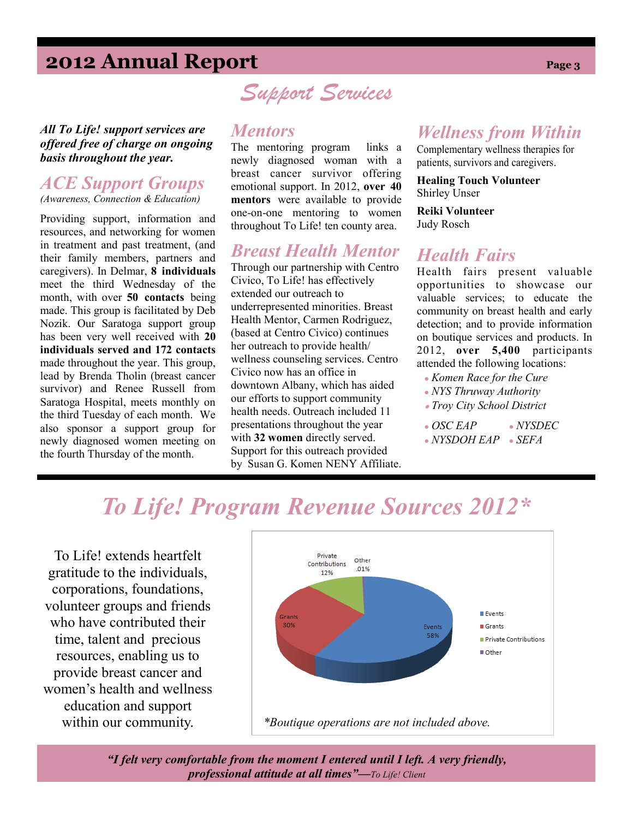# **2012 Annual Report Page 3**

*All To Life! support services are offered free of charge on ongoing basis throughout the year.*

### *ACE Support Groups (Awareness, Connection & Education)*

Providing support, information and resources, and networking for women in treatment and past treatment, (and their family members, partners and caregivers). In Delmar, **8 individuals**  meet the third Wednesday of the month, with over **50 contacts** being made. This group is facilitated by Deb Nozik. Our Saratoga support group has been very well received with **20 individuals served and 172 contacts**  made throughout the year. This group, lead by Brenda Tholin (breast cancer survivor) and Renee Russell from Saratoga Hospital, meets monthly on the third Tuesday of each month. We also sponsor a support group for newly diagnosed women meeting on the fourth Thursday of the month.

# *Support Services*

### *Mentors*

The mentoring program links a newly diagnosed woman with a breast cancer survivor offering emotional support. In 2012, **over 40 mentors** were available to provide one-on-one mentoring to women throughout To Life! ten county area.

### *Breast Health Mentor*

Through our partnership with Centro Civico, To Life! has effectively extended our outreach to underrepresented minorities. Breast Health Mentor, Carmen Rodriguez, (based at Centro Civico) continues her outreach to provide health/ wellness counseling services. Centro Civico now has an office in downtown Albany, which has aided our efforts to support community health needs. Outreach included 11 presentations throughout the year with **32 women** directly served. Support for this outreach provided by Susan G. Komen NENY Affiliate.

### *Wellness from Within*

Complementary wellness therapies for patients, survivors and caregivers.

**Healing Touch Volunteer** Shirley Unser

**Reiki Volunteer**  Judy Rosch

## *Health Fairs*

Health fairs present valuable opportunities to showcase our valuable services; to educate the community on breast health and early detection; and to provide information on boutique services and products. In 2012, **over 5,400** participants attended the following locations:

- *Komen Race for the Cure*
- *NYS Thruway Authority*
- *Troy City School District*
- *OSC EAP NYSDEC*
- *NYSDOH EAP SEFA*

# *To Life! Program Revenue Sources 2012\**

To Life! extends heartfelt gratitude to the individuals, corporations, foundations, volunteer groups and friends who have contributed their time, talent and precious resources, enabling us to provide breast cancer and women's health and wellness education and support



*"I felt very comfortable from the moment I entered until I left. A very friendly, professional attitude at all times"—To Life! Client*